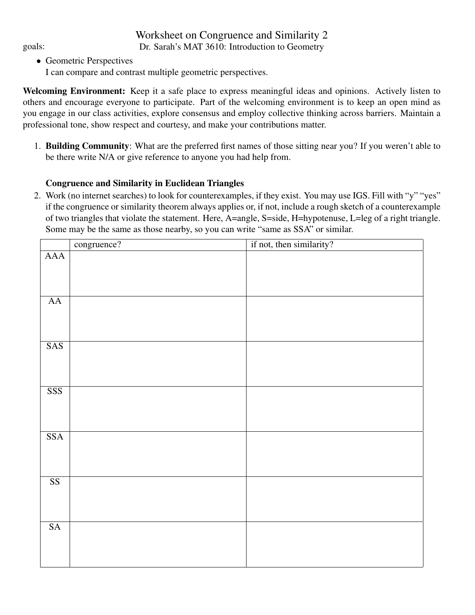## Worksheet on Congruence and Similarity 2 goals: Dr. Sarah's MAT 3610: Introduction to Geometry

- Geometric Perspectives
	- I can compare and contrast multiple geometric perspectives.

Welcoming Environment: Keep it a safe place to express meaningful ideas and opinions. Actively listen to others and encourage everyone to participate. Part of the welcoming environment is to keep an open mind as you engage in our class activities, explore consensus and employ collective thinking across barriers. Maintain a professional tone, show respect and courtesy, and make your contributions matter.

1. Building Community: What are the preferred first names of those sitting near you? If you weren't able to be there write N/A or give reference to anyone you had help from.

## Congruence and Similarity in Euclidean Triangles

2. Work (no internet searches) to look for counterexamples, if they exist. You may use IGS. Fill with "y" "yes" if the congruence or similarity theorem always applies or, if not, include a rough sketch of a counterexample of two triangles that violate the statement. Here, A=angle, S=side, H=hypotenuse, L=leg of a right triangle. Some may be the same as those nearby, so you can write "same as SSA" or similar.

|                         | congruence? | if not, then similarity? |
|-------------------------|-------------|--------------------------|
| AAA                     |             |                          |
|                         |             |                          |
|                         |             |                          |
| ${\rm AA}$              |             |                          |
|                         |             |                          |
|                         |             |                          |
| SAS                     |             |                          |
|                         |             |                          |
|                         |             |                          |
| SSS                     |             |                          |
|                         |             |                          |
|                         |             |                          |
| $\overline{\text{SSA}}$ |             |                          |
|                         |             |                          |
|                         |             |                          |
| $\overline{\text{SS}}$  |             |                          |
|                         |             |                          |
|                         |             |                          |
| $\overline{\text{SA}}$  |             |                          |
|                         |             |                          |
|                         |             |                          |